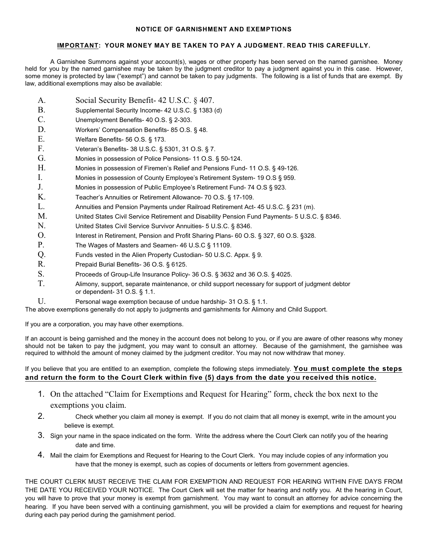## **NOTICE OF GARNISHMENT AND EXEMPTIONS**

## **IMPORTANT: YOUR MONEY MAY BE TAKEN TO PAY A JUDGMENT. READ THIS CAREFULLY.**

A Garnishee Summons against your account(s), wages or other property has been served on the named garnishee. Money held for you by the named garnishee may be taken by the judgment creditor to pay a judgment against you in this case. However, some money is protected by law ("exempt") and cannot be taken to pay judgments. The following is a list of funds that are exempt. By law, additional exemptions may also be available:

- A. Social Security Benefit- 42 U.S.C. § 407.
- B. Supplemental Security Income- 42 U.S.C. § 1383 (d)
- C. Unemployment Benefits- 40 O.S. § 2-303.
- D. Workers' Compensation Benefits- 85 O.S. § 48.
- E. Welfare Benefits- 56 O.S. § 173.
- F. Veteran's Benefits- 38 U.S.C. § 5301, 31 O.S. § 7.
- G. Monies in possession of Police Pensions- 11 O.S. § 50-124.
- H. Monies in possession of Firemen's Relief and Pensions Fund- 11 O.S. § 49-126.
- I. Monies in possession of County Employee's Retirement System- 19 O.S § 959.
- J. Monies in possession of Public Employee's Retirement Fund- 74 O.S § 923.
- K. Teacher's Annuities or Retirement Allowance- 70 O.S. § 17-109.
- L. Annuities and Pension Payments under Railroad Retirement Act- 45 U.S.C. § 231 (m).
- M. United States Civil Service Retirement and Disability Pension Fund Payments- 5 U.S.C. § 8346.
- N. United States Civil Service Survivor Annuities- 5 U.S.C. § 8346.
- O. Interest in Retirement, Pension and Profit Sharing Plans- 60 O.S. § 327, 60 O.S. §328.
- P. The Wages of Masters and Seamen-46 U.S.C § 11109.
- Q. Funds vested in the Alien Property Custodian- 50 U.S.C. Appx. § 9.
- R. Prepaid Burial Benefits- 36 O.S. § 6125.
- S. Proceeds of Group-Life Insurance Policy- 36 O.S. § 3632 and 36 O.S. § 4025.
- T. Alimony, support, separate maintenance, or child support necessary for support of judgment debtor or dependent- 31 O.S. § 1.1.
- U. Personal wage exemption because of undue hardship- 31 O.S. § 1.1.

The above exemptions generally do not apply to judgments and garnishments for Alimony and Child Support.

If you are a corporation, you may have other exemptions.

If an account is being garnished and the money in the account does not belong to you, or if you are aware of other reasons why money should not be taken to pay the judgment, you may want to consult an attorney. Because of the garnishment, the garnishee was required to withhold the amount of money claimed by the judgment creditor. You may not now withdraw that money.

## If you believe that you are entitled to an exemption, complete the following steps immediately. **You must complete the steps and return the form to the Court Clerk within five (5) days from the date you received this notice.**

- 1. On the attached "Claim for Exemptions and Request for Hearing" form, check the box next to the exemptions you claim.
- 2. Check whether you claim all money is exempt. If you do not claim that all money is exempt, write in the amount you believe is exempt.
- 3. Sign your name in the space indicated on the form. Write the address where the Court Clerk can notify you of the hearing date and time.
- 4. Mail the claim for Exemptions and Request for Hearing to the Court Clerk. You may include copies of any information you have that the money is exempt, such as copies of documents or letters from government agencies.

THE COURT CLERK MUST RECEIVE THE CLAIM FOR EXEMPTION AND REQUEST FOR HEARING WITHIN FIVE DAYS FROM THE DATE YOU RECEIVED YOUR NOTICE. The Court Clerk will set the matter for hearing and notify you. At the hearing in Court, you will have to prove that your money is exempt from garnishment. You may want to consult an attorney for advice concerning the hearing. If you have been served with a continuing garnishment, you will be provided a claim for exemptions and request for hearing during each pay period during the garnishment period.